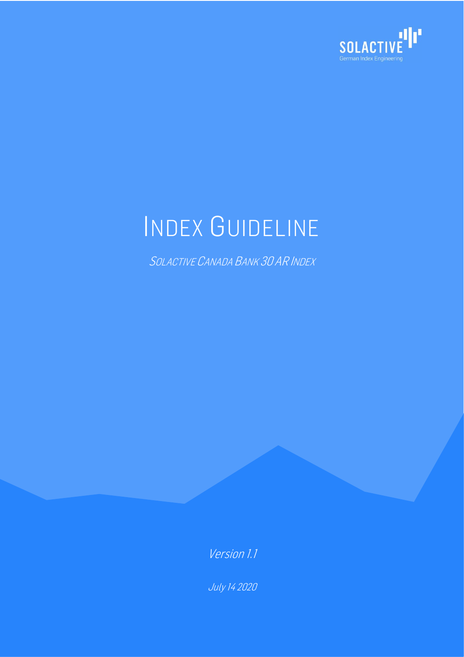

# INDEX GUIDELINE

SOLACTIVE CANADA BANK 30 AR INDEX

Version 1.1

July 14 2020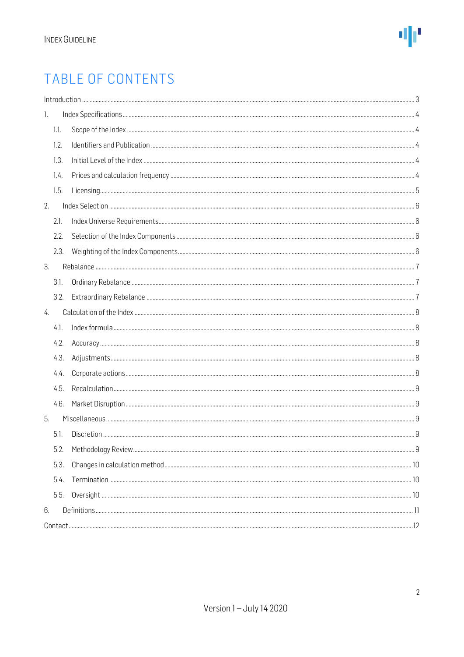### TABLE OF CONTENTS

|    |      | Introduction 33 |  |
|----|------|-----------------|--|
| 1. |      |                 |  |
|    | 1.1. |                 |  |
|    | 1.2. |                 |  |
|    | 1.3. |                 |  |
|    | 1.4. |                 |  |
|    | 1.5. |                 |  |
| 2. |      |                 |  |
|    | 2.1. |                 |  |
|    | 2.2. |                 |  |
|    | 2.3. |                 |  |
| 3. |      |                 |  |
|    | 3.1. |                 |  |
|    | 3.2. |                 |  |
| 4. |      |                 |  |
|    | 4.1. |                 |  |
|    | 4.2. |                 |  |
|    | 4.3. |                 |  |
|    | 4.4. |                 |  |
|    | 4.5. |                 |  |
|    | 4.6. |                 |  |
| 5. |      |                 |  |
|    | 5.1. |                 |  |
|    | 5.2. |                 |  |
|    | 5.3. |                 |  |
|    | 5.4. |                 |  |
|    | 5.5. |                 |  |
| 6. |      |                 |  |
|    |      |                 |  |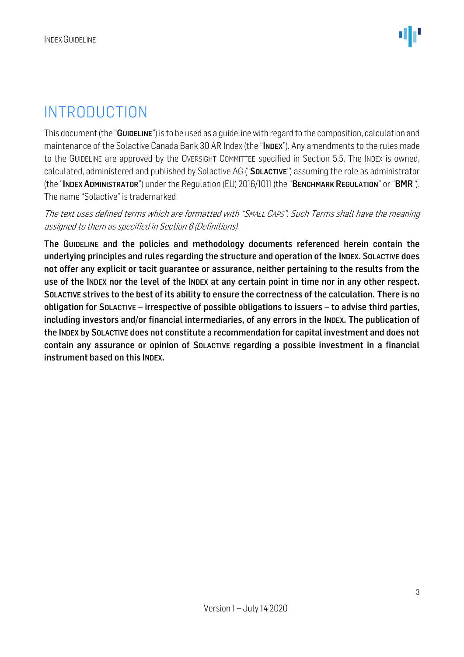### <span id="page-2-0"></span>INTRODUCTION

This document (the "GUIDELINE") is to be used as a guidelinewith regard to the composition, calculation and maintenance of the Solactive Canada Bank 30 AR Index (the "INDEX"). Any amendments to the rules made to the GUIDELINE are approved by the OVERSIGHT COMMITTEE specified in Section 5.5. The INDEX is owned, calculated, administered and published by Solactive AG ("SOLACTIVE") assuming the role as administrator (the "INDEX ADMINISTRATOR") under the Regulation (EU) 2016/1011 (the "BENCHMARK REGULATION" or "BMR"). The name "Solactive" is trademarked.

#### The text uses defined terms which are formatted with "SMALL CAPS". Such Terms shall have the meaning assigned to them as specified in Section 6 (Definitions).

The GUIDELINE and the policies and methodology documents referenced herein contain the underlying principles and rules regarding the structure and operation of the INDEX. SOLACTIVE does not offer any explicit or tacit guarantee or assurance, neither pertaining to the results from the use of the INDEX nor the level of the INDEX at any certain point in time nor in any other respect. SOLACTIVE strives to the best of its ability to ensure the correctness of the calculation. There is no obligation for SOLACTIVE – irrespective of possible obligations to issuers – to advise third parties, including investors and/or financial intermediaries, of any errors in the INDEX. The publication of the INDEX by SOLACTIVE does not constitute a recommendation for capital investment and does not contain any assurance or opinion of SOLACTIVE regarding a possible investment in a financial instrument based on this INDEX.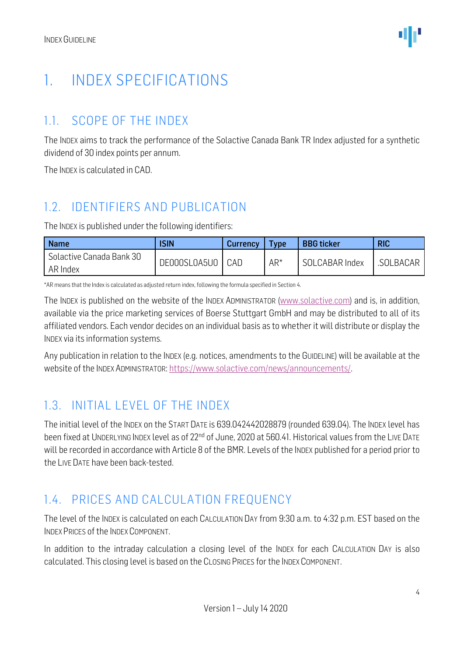### <span id="page-3-0"></span>1. INDEX SPECIFICATIONS

### <span id="page-3-1"></span>1.1. SCOPE OF THE INDEX

The INDEX aims to track the performance of the Solactive Canada Bank TR Index adjusted for a synthetic dividend of 30 index points per annum.

The INDEX is calculated in CAD.

### <span id="page-3-2"></span>1.2. IDENTIFIERS AND PUBLICATION

The INDEX is published under the following identifiers:

| <b>Name</b>                          | <b>ISIN</b>  | <b>Currency</b> | <b>Type</b> | <b>BBG</b> ticker | <b>RIC</b> |
|--------------------------------------|--------------|-----------------|-------------|-------------------|------------|
| Solactive Canada Bank 30<br>AR Index | DE000SL0A5U0 | CAD             | $AR^*$      | SOLCABAR Index    | .SOLBACAR  |

\*AR means that the Index is calculated as adjusted return index, following the formula specified in Section 4.

The INDEX is published on the website of the INDEX ADMINISTRATOR [\(www.solactive.com\)](http://www.solactive.com/) and is, in addition, available via the price marketing services of Boerse Stuttgart GmbH and may be distributed to all of its affiliated vendors. Each vendor decides on an individual basis as to whether it will distribute or display the INDEX via its information systems.

Any publication in relation to the INDEX (e.g. notices, amendments to the GUIDELINE) will be available at the website of the INDEX ADMINISTRATOR: [https://www.solactive.com/news/announcements/.](https://www.solactive.com/news/announcements/)

### <span id="page-3-3"></span>1.3. INITIAL LEVEL OF THE INDEX

The initial level of the INDEX on the START DATE is 639.042442028879 (rounded 639.04). The INDEX level has been fixed at UNDERLYING INDEX level as of 22<sup>nd</sup> of June, 2020 at 560.41. Historical values from the LIVE DATE will be recorded in accordance with Article 8 of the BMR. Levels of the INDEX published for a period prior to the LIVE DATE have been back-tested.

### <span id="page-3-4"></span>1.4. PRICES AND CALCULATION FREQUENCY

The level of the INDEX is calculated on each CALCULATION DAY from 9:30 a.m. to 4:32 p.m. EST based on the INDEX PRICES of the INDEX COMPONENT.

In addition to the intraday calculation a closing level of the INDEX for each CALCULATION DAY is also calculated. This closing level is based on the CLOSING PRICES for the INDEX COMPONENT.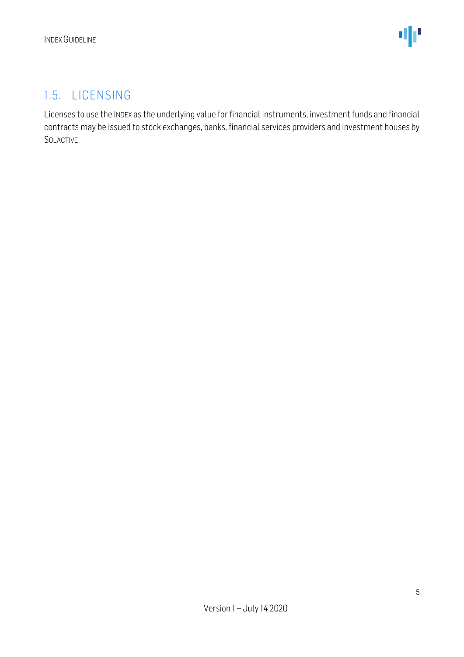#### <span id="page-4-0"></span>1.5. LICENSING

Licenses to use the INDEX as the underlying value for financial instruments, investment funds and financial contracts may be issued to stock exchanges, banks, financial services providers and investment houses by SOLACTIVE.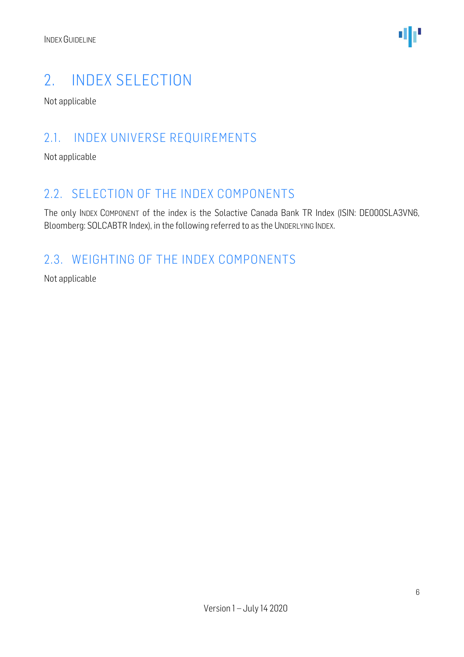

### <span id="page-5-0"></span>2. INDEX SELECTION

Not applicable

#### <span id="page-5-1"></span>2.1. INDEX UNIVERSE REQUIREMENTS

Not applicable

#### <span id="page-5-2"></span>2.2. SELECTION OF THE INDEX COMPONENTS

The only INDEX COMPONENT of the index is the Solactive Canada Bank TR Index (ISIN: DE000SLA3VN6, Bloomberg: SOLCABTR Index), in the following referred to as the UNDERLYING INDEX.

### <span id="page-5-3"></span>2.3. WEIGHTING OF THE INDEX COMPONENTS

Not applicable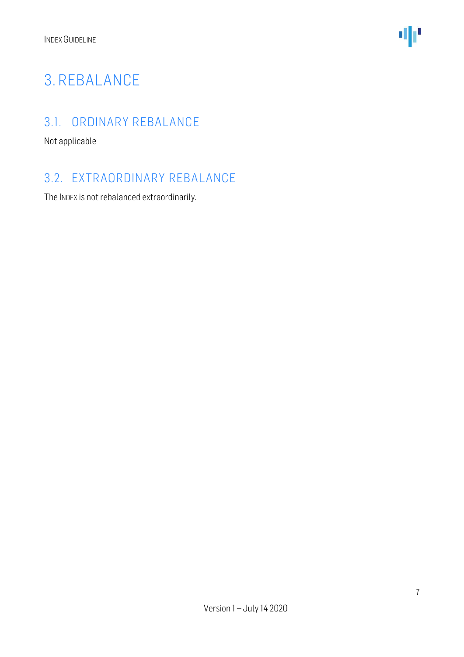

### <span id="page-6-0"></span>3. REBALANCE

### <span id="page-6-1"></span>3.1. ORDINARY REBALANCE

Not applicable

#### <span id="page-6-2"></span>3.2. EXTRAORDINARY REBALANCE

The INDEX is not rebalanced extraordinarily.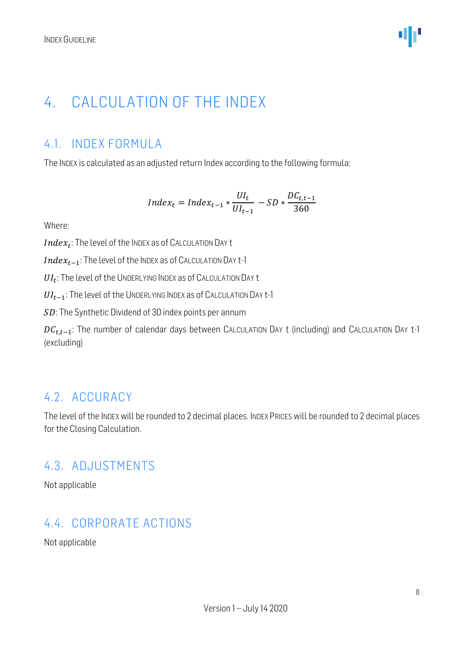### <span id="page-7-0"></span>4. CALCULATION OF THE INDEX

### <span id="page-7-1"></span>4.1. INDEX FORMULA

The INDEX is calculated as an adjusted return Index according to the following formula:

$$
Index_t = Index_{t-1} * \frac{UI_t}{UI_{t-1}} - SD * \frac{DC_{t,t-1}}{360}
$$

Where:

 $Index_t$ : The level of the Index as of Calculation Day t

 $Index_{t-1}$ : The level of the INDEX as of CALCULATION DAY t-1

 $UI_t$ : The level of the UNDERLYING INDEX as of CALCULATION DAY t

 $UI_{t-1}$ : The level of the UNDERLYING INDEX as of CALCULATION DAY t-1

SD: The Synthetic Dividend of 30 index points per annum

 $DC_{t,t-1}$ : The number of calendar days between CALCULATION DAY t (including) and CALCULATION DAY t-1 (excluding)

#### <span id="page-7-2"></span>4.2. ACCURACY

The level of the INDEX will be rounded to 2 decimal places. INDEX PRICES will be rounded to 2 decimal places for the Closing Calculation.

#### <span id="page-7-3"></span>4.3. ADJUSTMENTS

Not applicable

#### <span id="page-7-4"></span>4.4. CORPORATE ACTIONS

Not applicable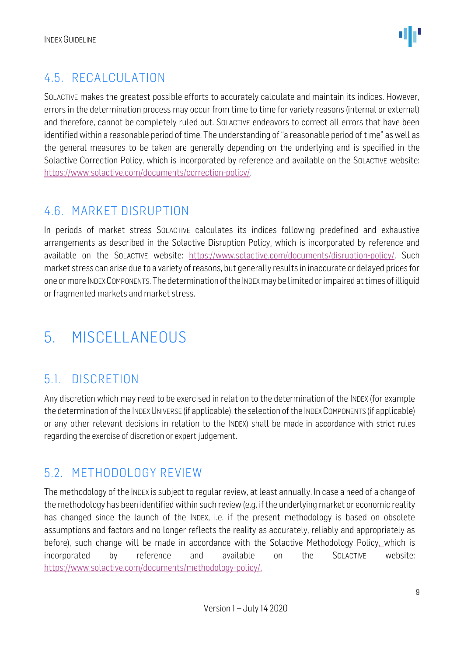### <span id="page-8-0"></span>4.5. RECALCULATION

SOLACTIVE makes the greatest possible efforts to accurately calculate and maintain its indices. However, errors in the determination process may occur from time to time for variety reasons (internal or external) and therefore, cannot be completely ruled out. SOLACTIVE endeavors to correct all errors that have been identified within a reasonable period of time. The understanding of "a reasonable period of time" as well as the general measures to be taken are generally depending on the underlying and is specified in the Solactive Correction Policy, which is incorporated by reference and available on the SOLACTIVE website: [https://www.solactive.com/documents/correction-policy/.](https://www.solactive.com/documents/correction-policy/)

### <span id="page-8-1"></span>4.6. MARKET DISRUPTION

In periods of market stress SOLACTIVE calculates its indices following predefined and exhaustive arrangements as described in the Solactive Disruption Policy, which is incorporated by reference and available on the SOLACTIVE website: [https://www.solactive.com/documents/disruption-policy/.](https://www.solactive.com/documents/disruption-policy/) Such market stress can arise due to a variety of reasons, but generally results in inaccurate or delayed prices for one or more INDEXCOMPONENTS. The determination of the INDEXmay be limited or impaired at times of illiquid or fragmented markets and market stress.

### <span id="page-8-2"></span>5. MISCELLANEOUS

### <span id="page-8-3"></span>5.1. DISCRETION

Any discretion which may need to be exercised in relation to the determination of the INDEX (for example the determination of the INDEX UNIVERSE (if applicable), the selection of the INDEX COMPONENTS (if applicable) or any other relevant decisions in relation to the INDEX) shall be made in accordance with strict rules regarding the exercise of discretion or expert judgement.

### <span id="page-8-4"></span>5.2. METHODOLOGY REVIEW

The methodology of the INDEX is subject to regular review, at least annually. In case a need of a change of the methodology has been identified within such review (e.g. if the underlying market or economic reality has changed since the launch of the INDEX, i.e. if the present methodology is based on obsolete assumptions and factors and no longer reflects the reality as accurately, reliably and appropriately as before), such change will be made in accordance with the Solactive Methodology Policy, which is incorporated by reference and available on the SOLACTIVE website: [https://www.solactive.com/documents/methodology-policy/.](https://www.solactive.com/documents/methodology-policy/)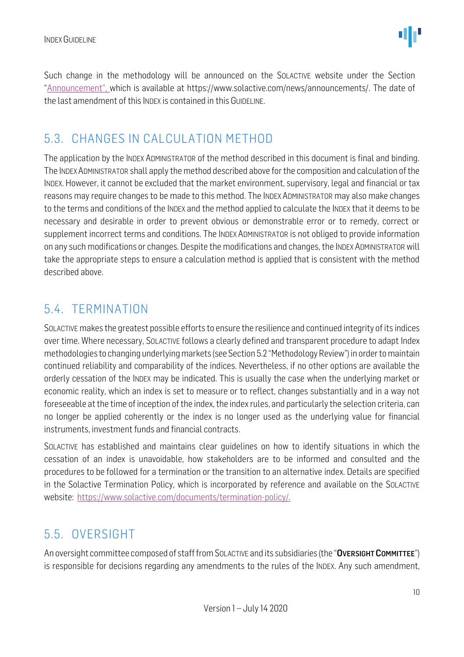Such change in the methodology will be announced on the SOLACTIVE website under the Section "Announcement", which is available at https://www.solactive.com/news/announcements/. The date of the last amendment of this INDEX is contained in this GUIDELINE.

### <span id="page-9-0"></span>5.3. CHANGES IN CALCULATION METHOD

The application by the INDEX ADMINISTRATOR of the method described in this document is final and binding. The INDEXADMINISTRATOR shall apply the method described above for the composition and calculation of the INDEX. However, it cannot be excluded that the market environment, supervisory, legal and financial or tax reasons may require changes to be made to this method. The INDEX ADMINISTRATOR may also make changes to the terms and conditions of the INDEX and the method applied to calculate the INDEX that it deems to be necessary and desirable in order to prevent obvious or demonstrable error or to remedy, correct or supplement incorrect terms and conditions. The INDEX ADMINISTRATOR is not obliged to provide information on any such modifications or changes. Despite the modifications and changes, the INDEX ADMINISTRATOR will take the appropriate steps to ensure a calculation method is applied that is consistent with the method described above.

### <span id="page-9-1"></span>5.4. TERMINATION

SOLACTIVE makes the greatest possible efforts to ensure the resilience and continued integrity of its indices over time. Where necessary, SOLACTIVE follows a clearly defined and transparent procedure to adapt Index methodologies to changing underlying markets (see Section 5.2 "Methodology Review") in order to maintain continued reliability and comparability of the indices. Nevertheless, if no other options are available the orderly cessation of the INDEX may be indicated. This is usually the case when the underlying market or economic reality, which an index is set to measure or to reflect, changes substantially and in a way not foreseeable at the time of inception of the index, the index rules, and particularly the selection criteria, can no longer be applied coherently or the index is no longer used as the underlying value for financial instruments, investment funds and financial contracts.

SOLACTIVE has established and maintains clear guidelines on how to identify situations in which the cessation of an index is unavoidable, how stakeholders are to be informed and consulted and the procedures to be followed for a termination or the transition to an alternative index. Details are specified in the Solactive Termination Policy, which is incorporated by reference and available on the SOLACTIVE website: [https://www.solactive.com/documents/termination-policy/.](https://www.solactive.com/documents/termination-policy/)

### <span id="page-9-2"></span>5.5. OVERSIGHT

An oversight committee composed of staff from SOLACTIVE and its subsidiaries (the "OVERSIGHT COMMITTEE") is responsible for decisions regarding any amendments to the rules of the INDEX. Any such amendment,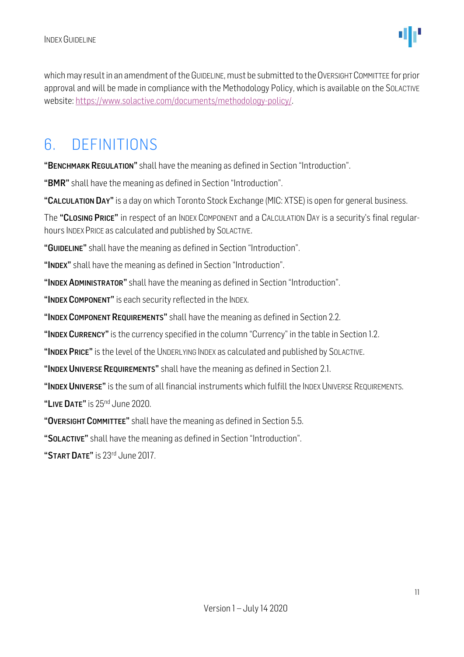which may result in an amendment of the GUIDELINE, must be submitted to the OVERSIGHT COMMITTEE for prior approval and will be made in compliance with the [Methodology](http://methodology/) Policy, which is available on the SOLACTIVE website: [https://www.solactive.com/documents/methodology-policy/.](https://www.solactive.com/documents/methodology-policy/)

### <span id="page-10-0"></span>6. DEFINITIONS

"BENCHMARK REGULATION" shall have the meaning as defined in Section "Introduction".

"BMR" shall have the meaning as defined in Section "Introduction".

"CALCULATION DAY" is a day on which Toronto Stock Exchange (MIC: XTSE) is open for general business.

The "CLOSING PRICE" in respect of an INDEX COMPONENT and a CALCULATION DAY is a security's final regularhours INDEX PRICE as calculated and published by SOLACTIVE.

"GUIDELINE" shall have the meaning as defined in Section "Introduction".

"INDEX" shall have the meaning as defined in Section "Introduction".

"INDEX ADMINISTRATOR" shall have the meaning as defined in Section "Introduction".

"INDEX COMPONENT" is each security reflected in the INDEX.

"INDEX COMPONENT REQUIREMENTS" shall have the meaning as defined in Section 2.2.

"INDEX CURRENCY" is the currency specified in the column "Currency" in the table in Section 1.2.

"INDEX PRICE" is the level of the UNDERLYING INDEX as calculated and published by SOLACTIVE.

"INDEX UNIVERSE REQUIREMENTS" shall have the meaning as defined in Section 2.1.

"INDEX UNIVERSE" is the sum of all financial instruments which fulfill the INDEX UNIVERSE REQUIREMENTS.

"LIVE DATE" is 25<sup>nd</sup> June 2020.

"OVERSIGHT COMMITTEE" shall have the meaning as defined in Section 5.5.

"SOLACTIVE" shall have the meaning as defined in Section "Introduction".

"START DATE" is 23rd June 2017.